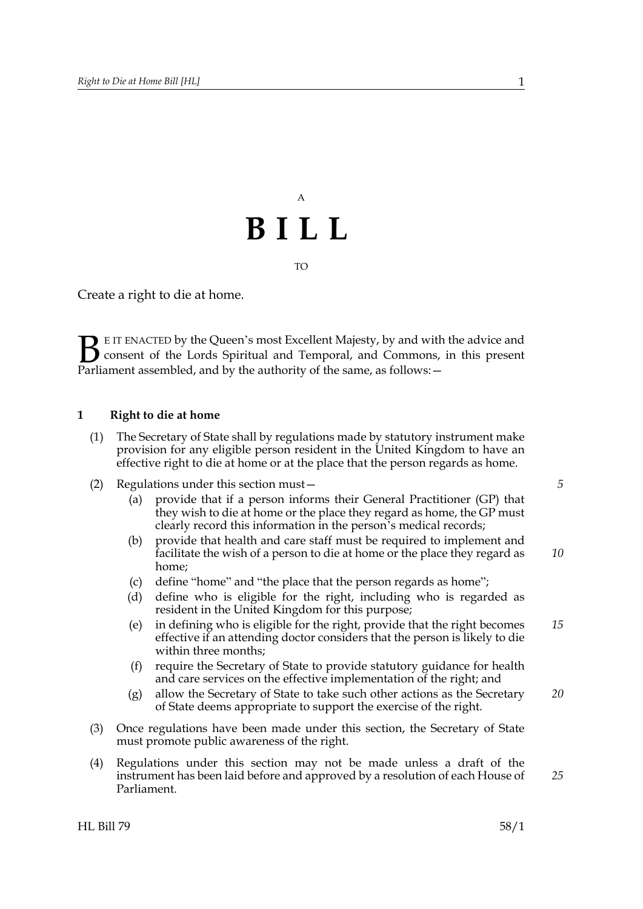## A **BILL**

TO

Create a right to die at home.

E IT ENACTED by the Queen's most Excellent Majesty, by and with the advice and consent of the Lords Spiritual and Temporal, and Commons, in this present **B** EIT ENACTED by the Queen's most Excellent Majesty, by and with consent of the Lords Spiritual and Temporal, and Commons, Parliament assembled, and by the authority of the same, as follows:  $-$ 

## **1 Right to die at home**

- (1) The Secretary of State shall by regulations made by statutory instrument make provision for any eligible person resident in the United Kingdom to have an effective right to die at home or at the place that the person regards as home.
- (2) Regulations under this section must—
	- (a) provide that if a person informs their General Practitioner (GP) that they wish to die at home or the place they regard as home, the GP must clearly record this information in the person's medical records;
	- (b) provide that health and care staff must be required to implement and facilitate the wish of a person to die at home or the place they regard as home; *10*
	- (c) define "home" and "the place that the person regards as home";
	- (d) define who is eligible for the right, including who is regarded as resident in the United Kingdom for this purpose;
	- (e) in defining who is eligible for the right, provide that the right becomes effective if an attending doctor considers that the person is likely to die within three months; *15*
	- (f) require the Secretary of State to provide statutory guidance for health and care services on the effective implementation of the right; and
	- (g) allow the Secretary of State to take such other actions as the Secretary of State deems appropriate to support the exercise of the right. *20*
- (3) Once regulations have been made under this section, the Secretary of State must promote public awareness of the right.
- (4) Regulations under this section may not be made unless a draft of the instrument has been laid before and approved by a resolution of each House of Parliament.

*25*

*5*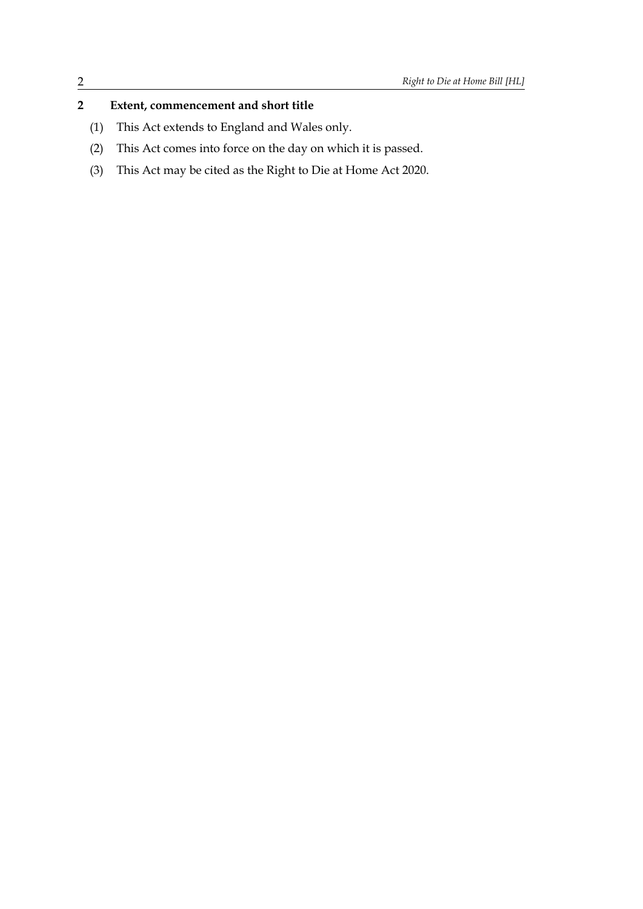## **2 Extent, commencement and short title**

- (1) This Act extends to England and Wales only.
- (2) This Act comes into force on the day on which it is passed.
- (3) This Act may be cited as the Right to Die at Home Act 2020.